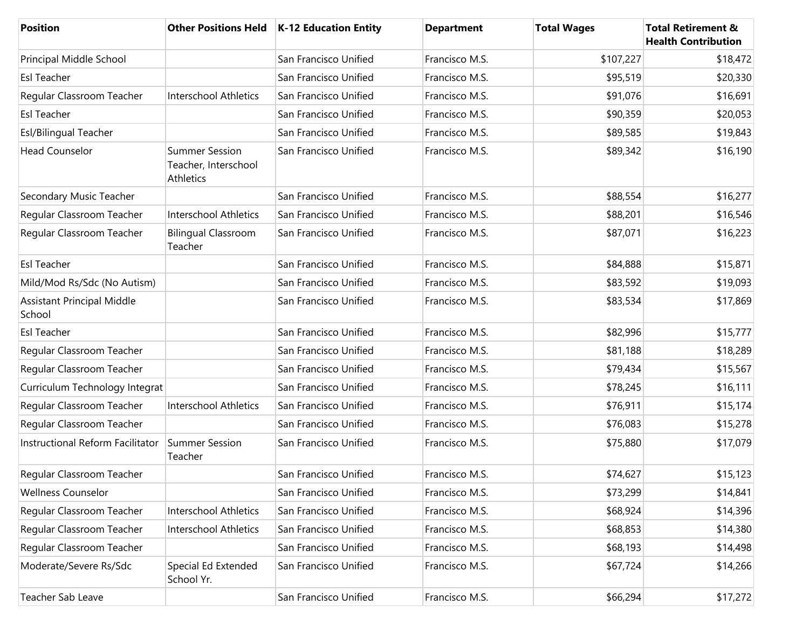| <b>Position</b>                             |                                                            | Other Positions Held   K-12 Education Entity | <b>Department</b> | <b>Total Wages</b> | <b>Total Retirement &amp;</b><br><b>Health Contribution</b> |
|---------------------------------------------|------------------------------------------------------------|----------------------------------------------|-------------------|--------------------|-------------------------------------------------------------|
| Principal Middle School                     |                                                            | San Francisco Unified                        | Francisco M.S.    | \$107,227          | \$18,472                                                    |
| <b>Esl Teacher</b>                          |                                                            | San Francisco Unified                        | Francisco M.S.    | \$95,519           | \$20,330                                                    |
| Regular Classroom Teacher                   | <b>Interschool Athletics</b>                               | San Francisco Unified                        | Francisco M.S.    | \$91,076           | \$16,691                                                    |
| <b>Esl Teacher</b>                          |                                                            | San Francisco Unified                        | Francisco M.S.    | \$90,359           | \$20,053                                                    |
| Esl/Bilingual Teacher                       |                                                            | San Francisco Unified                        | Francisco M.S.    | \$89,585           | \$19,843                                                    |
| <b>Head Counselor</b>                       | <b>Summer Session</b><br>Teacher, Interschool<br>Athletics | San Francisco Unified                        | Francisco M.S.    | \$89,342           | \$16,190                                                    |
| Secondary Music Teacher                     |                                                            | San Francisco Unified                        | Francisco M.S.    | \$88,554           | \$16,277                                                    |
| Regular Classroom Teacher                   | Interschool Athletics                                      | San Francisco Unified                        | Francisco M.S.    | \$88,201           | \$16,546                                                    |
| Regular Classroom Teacher                   | <b>Bilingual Classroom</b><br>Teacher                      | San Francisco Unified                        | Francisco M.S.    | \$87,071           | \$16,223                                                    |
| <b>Esl Teacher</b>                          |                                                            | San Francisco Unified                        | Francisco M.S.    | \$84,888           | \$15,871                                                    |
| Mild/Mod Rs/Sdc (No Autism)                 |                                                            | San Francisco Unified                        | Francisco M.S.    | \$83,592           | \$19,093                                                    |
| <b>Assistant Principal Middle</b><br>School |                                                            | San Francisco Unified                        | Francisco M.S.    | \$83,534           | \$17,869                                                    |
| <b>Esl Teacher</b>                          |                                                            | San Francisco Unified                        | Francisco M.S.    | \$82,996           | \$15,777                                                    |
| Regular Classroom Teacher                   |                                                            | San Francisco Unified                        | Francisco M.S.    | \$81,188           | \$18,289                                                    |
| Regular Classroom Teacher                   |                                                            | San Francisco Unified                        | Francisco M.S.    | \$79,434           | \$15,567                                                    |
| Curriculum Technology Integrat              |                                                            | San Francisco Unified                        | Francisco M.S.    | \$78,245           | \$16,111                                                    |
| Regular Classroom Teacher                   | Interschool Athletics                                      | San Francisco Unified                        | Francisco M.S.    | \$76,911           | \$15,174                                                    |
| Regular Classroom Teacher                   |                                                            | San Francisco Unified                        | Francisco M.S.    | \$76,083           | \$15,278                                                    |
| Instructional Reform Facilitator            | Summer Session<br>Teacher                                  | San Francisco Unified                        | Francisco M.S.    | \$75,880           | \$17,079                                                    |
| Regular Classroom Teacher                   |                                                            | San Francisco Unified                        | Francisco M.S.    | \$74,627           | \$15,123                                                    |
| <b>Wellness Counselor</b>                   |                                                            | San Francisco Unified                        | Francisco M.S.    | \$73,299           | \$14,841                                                    |
| Regular Classroom Teacher                   | Interschool Athletics                                      | San Francisco Unified                        | Francisco M.S.    | \$68,924           | \$14,396                                                    |
| Regular Classroom Teacher                   | Interschool Athletics                                      | San Francisco Unified                        | Francisco M.S.    | \$68,853           | \$14,380                                                    |
| Regular Classroom Teacher                   |                                                            | San Francisco Unified                        | Francisco M.S.    | \$68,193           | \$14,498                                                    |
| Moderate/Severe Rs/Sdc                      | Special Ed Extended<br>School Yr.                          | San Francisco Unified                        | Francisco M.S.    | \$67,724           | \$14,266                                                    |
| Teacher Sab Leave                           |                                                            | San Francisco Unified                        | Francisco M.S.    | \$66,294           | \$17,272                                                    |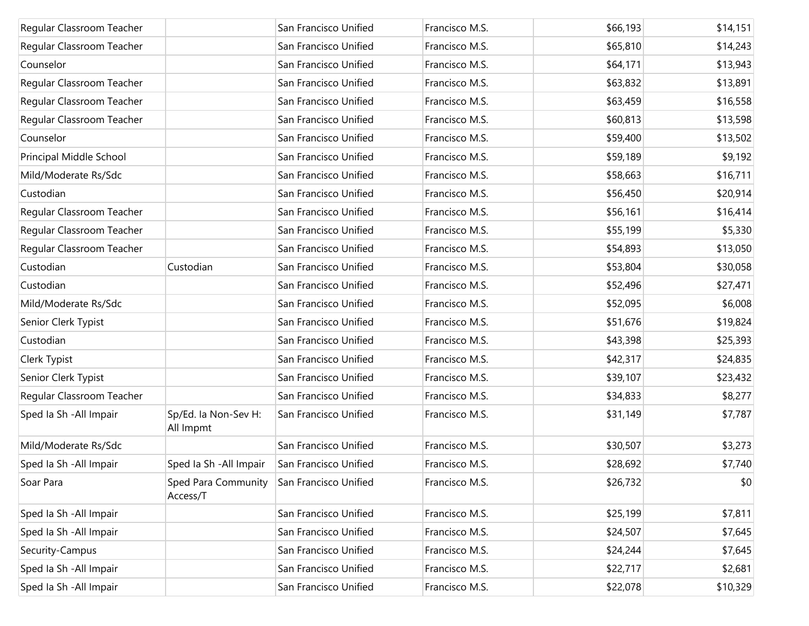| Regular Classroom Teacher |                                   | San Francisco Unified | Francisco M.S. | \$66,193 | \$14,151 |
|---------------------------|-----------------------------------|-----------------------|----------------|----------|----------|
| Regular Classroom Teacher |                                   | San Francisco Unified | Francisco M.S. | \$65,810 | \$14,243 |
| Counselor                 |                                   | San Francisco Unified | Francisco M.S. | \$64,171 | \$13,943 |
| Regular Classroom Teacher |                                   | San Francisco Unified | Francisco M.S. | \$63,832 | \$13,891 |
| Regular Classroom Teacher |                                   | San Francisco Unified | Francisco M.S. | \$63,459 | \$16,558 |
| Regular Classroom Teacher |                                   | San Francisco Unified | Francisco M.S. | \$60,813 | \$13,598 |
| Counselor                 |                                   | San Francisco Unified | Francisco M.S. | \$59,400 | \$13,502 |
| Principal Middle School   |                                   | San Francisco Unified | Francisco M.S. | \$59,189 | \$9,192  |
| Mild/Moderate Rs/Sdc      |                                   | San Francisco Unified | Francisco M.S. | \$58,663 | \$16,711 |
| Custodian                 |                                   | San Francisco Unified | Francisco M.S. | \$56,450 | \$20,914 |
| Regular Classroom Teacher |                                   | San Francisco Unified | Francisco M.S. | \$56,161 | \$16,414 |
| Regular Classroom Teacher |                                   | San Francisco Unified | Francisco M.S. | \$55,199 | \$5,330  |
| Regular Classroom Teacher |                                   | San Francisco Unified | Francisco M.S. | \$54,893 | \$13,050 |
| Custodian                 | Custodian                         | San Francisco Unified | Francisco M.S. | \$53,804 | \$30,058 |
| Custodian                 |                                   | San Francisco Unified | Francisco M.S. | \$52,496 | \$27,471 |
| Mild/Moderate Rs/Sdc      |                                   | San Francisco Unified | Francisco M.S. | \$52,095 | \$6,008  |
| Senior Clerk Typist       |                                   | San Francisco Unified | Francisco M.S. | \$51,676 | \$19,824 |
| Custodian                 |                                   | San Francisco Unified | Francisco M.S. | \$43,398 | \$25,393 |
| Clerk Typist              |                                   | San Francisco Unified | Francisco M.S. | \$42,317 | \$24,835 |
| Senior Clerk Typist       |                                   | San Francisco Unified | Francisco M.S. | \$39,107 | \$23,432 |
| Regular Classroom Teacher |                                   | San Francisco Unified | Francisco M.S. | \$34,833 | \$8,277  |
| Sped Ia Sh - All Impair   | Sp/Ed. la Non-Sev H:<br>All Impmt | San Francisco Unified | Francisco M.S. | \$31,149 | \$7,787  |
| Mild/Moderate Rs/Sdc      |                                   | San Francisco Unified | Francisco M.S. | \$30,507 | \$3,273  |
| Sped Ia Sh - All Impair   | Sped Ia Sh - All Impair           | San Francisco Unified | Francisco M.S. | \$28,692 | \$7,740  |
| Soar Para                 | Sped Para Community<br>Access/T   | San Francisco Unified | Francisco M.S. | \$26,732 | \$0      |
| Sped Ia Sh - All Impair   |                                   | San Francisco Unified | Francisco M.S. | \$25,199 | \$7,811  |
| Sped Ia Sh - All Impair   |                                   | San Francisco Unified | Francisco M.S. | \$24,507 | \$7,645  |
| Security-Campus           |                                   | San Francisco Unified | Francisco M.S. | \$24,244 | \$7,645  |
| Sped Ia Sh - All Impair   |                                   | San Francisco Unified | Francisco M.S. | \$22,717 | \$2,681  |
| Sped Ia Sh - All Impair   |                                   | San Francisco Unified | Francisco M.S. | \$22,078 | \$10,329 |